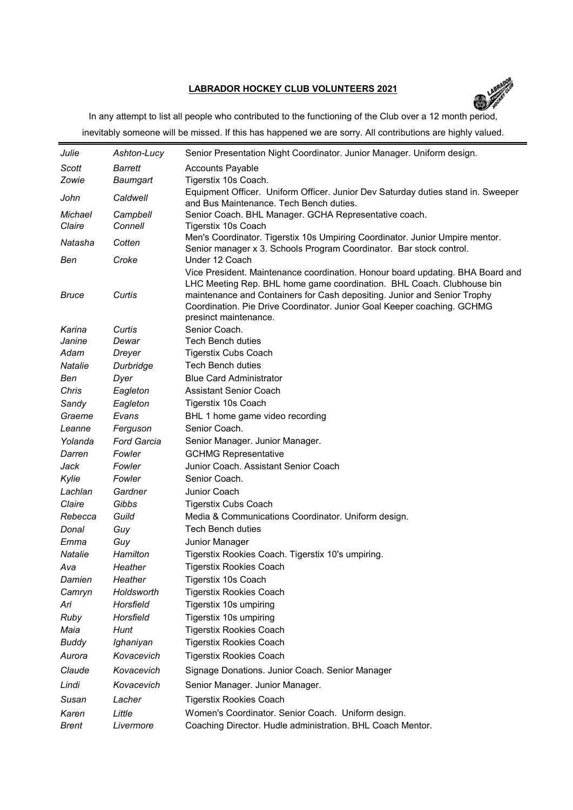## **LABRADOR HOCKEY CLUB VOLUNTEERS 2021**



In any attempt to list all people who contributed to the functioning of the Club over a 12 month period, inevitably someone will be missed. If this has happened we are sorry. All contributions are highly valued.

| Julie          | Ashton-Lucy        | Senior Presentation Night Coordinator. Junior Manager. Uniform design.                                                                                                                                                                                                                                                                  |
|----------------|--------------------|-----------------------------------------------------------------------------------------------------------------------------------------------------------------------------------------------------------------------------------------------------------------------------------------------------------------------------------------|
| Scott          | <b>Barrett</b>     | <b>Accounts Payable</b>                                                                                                                                                                                                                                                                                                                 |
| Zowie          | Baumgart           | Tigerstix 10s Coach.                                                                                                                                                                                                                                                                                                                    |
| John           | Caldwell           | Equipment Officer. Uniform Officer. Junior Dev Saturday duties stand in. Sweeper<br>and Bus Maintenance. Tech Bench duties.                                                                                                                                                                                                             |
| Michael        | Campbell           | Senior Coach. BHL Manager. GCHA Representative coach.                                                                                                                                                                                                                                                                                   |
| Claire         | Connell            | Tigerstix 10s Coach                                                                                                                                                                                                                                                                                                                     |
| Natasha        | Cotten             | Men's Coordinator. Tigerstix 10s Umpiring Coordinator. Junior Umpire mentor.<br>Senior manager x 3. Schools Program Coordinator. Bar stock control.                                                                                                                                                                                     |
| Ben            | Croke              | Under 12 Coach                                                                                                                                                                                                                                                                                                                          |
| <b>Bruce</b>   | Curtis             | Vice President. Maintenance coordination. Honour board updating. BHA Board and<br>LHC Meeting Rep. BHL home game coordination. BHL Coach. Clubhouse bin<br>maintenance and Containers for Cash depositing. Junior and Senior Trophy<br>Coordination. Pie Drive Coordinator. Junior Goal Keeper coaching. GCHMG<br>presinct maintenance. |
| Karina         | Curtis             | Senior Coach.                                                                                                                                                                                                                                                                                                                           |
| Janine         | Dewar              | <b>Tech Bench duties</b>                                                                                                                                                                                                                                                                                                                |
| Adam           | Dreyer             | <b>Tigerstix Cubs Coach</b>                                                                                                                                                                                                                                                                                                             |
| <b>Natalie</b> | Durbridge          | <b>Tech Bench duties</b>                                                                                                                                                                                                                                                                                                                |
| Ben            | Dyer               | <b>Blue Card Administrator</b>                                                                                                                                                                                                                                                                                                          |
| Chris          | Eagleton           | <b>Assistant Senior Coach</b>                                                                                                                                                                                                                                                                                                           |
| Sandy          | Eagleton           | Tigerstix 10s Coach                                                                                                                                                                                                                                                                                                                     |
| Graeme         | Evans              | BHL 1 home game video recording                                                                                                                                                                                                                                                                                                         |
| Leanne         | Ferguson           | Senior Coach.                                                                                                                                                                                                                                                                                                                           |
| Yolanda        | <b>Ford Garcia</b> | Senior Manager. Junior Manager.                                                                                                                                                                                                                                                                                                         |
| Darren         | Fowler             | <b>GCHMG Representative</b>                                                                                                                                                                                                                                                                                                             |
| Jack           | Fowler             | Junior Coach. Assistant Senior Coach                                                                                                                                                                                                                                                                                                    |
| Kylie          | Fowler             | Senior Coach.                                                                                                                                                                                                                                                                                                                           |
| Lachlan        | Gardner            | Junior Coach                                                                                                                                                                                                                                                                                                                            |
| Claire         | Gibbs              | <b>Tigerstix Cubs Coach</b>                                                                                                                                                                                                                                                                                                             |
| Rebecca        | Guild              | Media & Communications Coordinator. Uniform design.                                                                                                                                                                                                                                                                                     |
| Donal          | Guy                | <b>Tech Bench duties</b>                                                                                                                                                                                                                                                                                                                |
| Emma           | Guy                | Junior Manager                                                                                                                                                                                                                                                                                                                          |
| Natalie        | Hamilton           | Tigerstix Rookies Coach. Tigerstix 10's umpiring.                                                                                                                                                                                                                                                                                       |
| Ava            | Heather            | <b>Tigerstix Rookies Coach</b>                                                                                                                                                                                                                                                                                                          |
| Damien         | Heather            | Tigerstix 10s Coach                                                                                                                                                                                                                                                                                                                     |
| Camryn         | Holdsworth         | Tigerstix Rookies Coach                                                                                                                                                                                                                                                                                                                 |
| Ari            | Horsfield          | Tigerstix 10s umpiring                                                                                                                                                                                                                                                                                                                  |
| Ruby           | Horsfield          | Tigerstix 10s umpiring                                                                                                                                                                                                                                                                                                                  |
| Maia           | Hunt               | <b>Tigerstix Rookies Coach</b>                                                                                                                                                                                                                                                                                                          |
| <b>Buddy</b>   | Ighaniyan          | <b>Tigerstix Rookies Coach</b>                                                                                                                                                                                                                                                                                                          |
| Aurora         | Kovacevich         | <b>Tigerstix Rookies Coach</b>                                                                                                                                                                                                                                                                                                          |
| Claude         | Kovacevich         | Signage Donations. Junior Coach. Senior Manager                                                                                                                                                                                                                                                                                         |
| Lindi          | Kovacevich         | Senior Manager. Junior Manager.                                                                                                                                                                                                                                                                                                         |
| Susan          | Lacher             | <b>Tigerstix Rookies Coach</b>                                                                                                                                                                                                                                                                                                          |
| Karen          | Little             | Women's Coordinator. Senior Coach. Uniform design.                                                                                                                                                                                                                                                                                      |
| <b>Brent</b>   | Livermore          | Coaching Director. Hudle administration. BHL Coach Mentor.                                                                                                                                                                                                                                                                              |